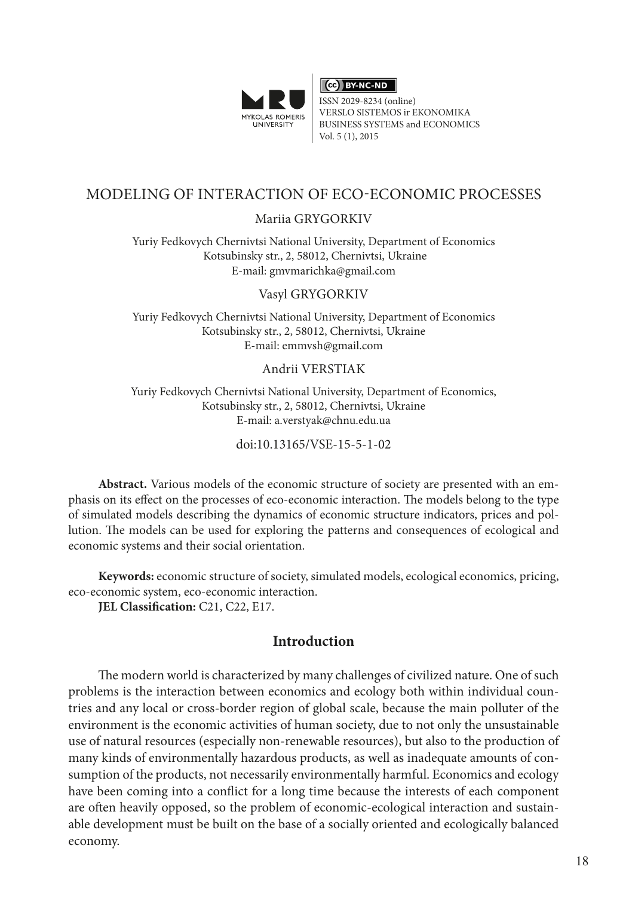

CC BY-NC-ND

ISSN 2029-8234 (online) VERSLO SISTEMOS ir EKONOMIKA BUSINESS SYSTEMS and ECONOMICS Vol. 5 (1), 2015

# MODELING OF INTERACTION OF ECO-ECONOMIC PROCESSES

## Mariia GRYGORKIV

Yuriy Fedkovych Chernivtsi National University, Department of Economics Kotsubinsky str., 2, 58012, Chernivtsi, Ukraine E-mail: [gmvmarichka@gmail.com](mailto:gmvmarichka@gmail.com)

### Vasyl GRYGORKIV

Yuriy Fedkovych Chernivtsi National University, Department of Economics Kotsubinsky str., 2, 58012, Chernivtsi, Ukraine E-mail: emmvsh@gmail.com

#### Andrii VERSTIAK

Yuriy Fedkovych Chernivtsi National University, Department of Economics, Kotsubinsky str., 2, 58012, Chernivtsi, Ukraine E-mail: a.verstyak@chnu.edu.ua

doi:10.13165/VSE-15-5-1-02

**Abstract.** Various models of the economic structure of society are presented with an emphasis on its effect on the processes of eco-economic interaction. The models belong to the type of simulated models describing the dynamics of economic structure indicators, prices and pollution. The models can be used for exploring the patterns and consequences of ecological and economic systems and their social orientation.

**Keywords:** economic structure of society, simulated models, ecological economics, pricing, eco-economic system, eco-economic interaction.

**JEL Classification: C21, C22, E17.** 

## **Introduction**

The modern world is characterized by many challenges of civilized nature. One of such problems is the interaction between economics and ecology both within individual countries and any local or cross-border region of global scale, because the main polluter of the environment is the economic activities of human society, due to not only the unsustainable use of natural resources (especially non-renewable resources), but also to the production of many kinds of environmentally hazardous products, as well as inadequate amounts of consumption of the products, not necessarily environmentally harmful. Economics and ecology have been coming into a conflict for a long time because the interests of each component are often heavily opposed, so the problem of economic-ecological interaction and sustainable development must be built on the base of a socially oriented and ecologically balanced economy.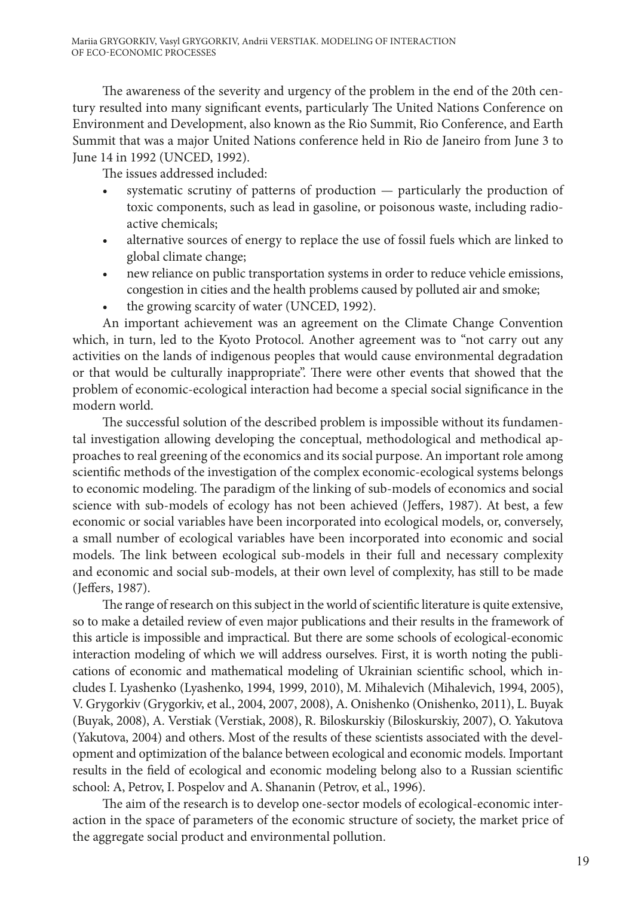The awareness of the severity and urgency of the problem in the end of the 20th century resulted into many significant events, particularly The United Nations Conference on Environment and Development, also known as the Rio Summit, Rio Conference, and Earth Summit that was a major United Nations conference held in Rio de Janeiro from June 3 to June 14 in 1992 (UNCED, 1992).

The issues addressed included:

- systematic scrutiny of patterns of production particularly the production of toxic components, such as lead in gasoline, or poisonous waste, including radioactive chemicals;
- alternative sources of energy to replace the use of fossil fuels which are linked to global climate change;
- new reliance on public transportation systems in order to reduce vehicle emissions, congestion in cities and the health problems caused by polluted air and smoke;
- the growing scarcity of water (UNCED, 1992).

An important achievement was an agreement on the Climate Change Convention which, in turn, led to the Kyoto Protocol. Another agreement was to "not carry out any activities on the lands of indigenous peoples that would cause environmental degradation or that would be culturally inappropriate". There were other events that showed that the problem of economic-ecological interaction had become a special social significance in the modern world.

The successful solution of the described problem is impossible without its fundamental investigation allowing developing the conceptual, methodological and methodical approaches to real greening of the economics and its social purpose. An important role among scientific methods of the investigation of the complex economic-ecological systems belongs to economic modeling. The paradigm of the linking of sub-models of economics and social science with sub-models of ecology has not been achieved (Jeffers, 1987). At best, a few economic or social variables have been incorporated into ecological models, or, conversely, a small number of ecological variables have been incorporated into economic and social models. The link between ecological sub-models in their full and necessary complexity and economic and social sub-models, at their own level of complexity, has still to be made (Jeffers, 1987).

The range of research on this subject in the world of scientific literature is quite extensive, so to make a detailed review of even major publications and their results in the framework of this article is impossible and impractical. But there are some schools of ecological-economic interaction modeling of which we will address ourselves. First, it is worth noting the publications of economic and mathematical modeling of Ukrainian scientific school, which includes I. Lyashenko (Lyashenko, 1994, 1999, 2010), M. Mihalevich (Mihalevich, 1994, 2005), V. Grygorkiv (Grygorkiv, et al., 2004, 2007, 2008), A. Onishenko (Onishenko, 2011), L. Buyak (Buyak, 2008), A. Verstiak (Verstiak, 2008), R. Biloskurskiy (Biloskurskiy, 2007), O. Yakutova (Yakutova, 2004) and others. Most of the results of these scientists associated with the development and optimization of the balance between ecological and economic models. Important results in the field of ecological and economic modeling belong also to a Russian scientific school: A, Petrov, I. Pospelov and A. Shananin (Petrov, et al., 1996).

The aim of the research is to develop one-sector models of ecological-economic interaction in the space of parameters of the economic structure of society, the market price of the aggregate social product and environmental pollution.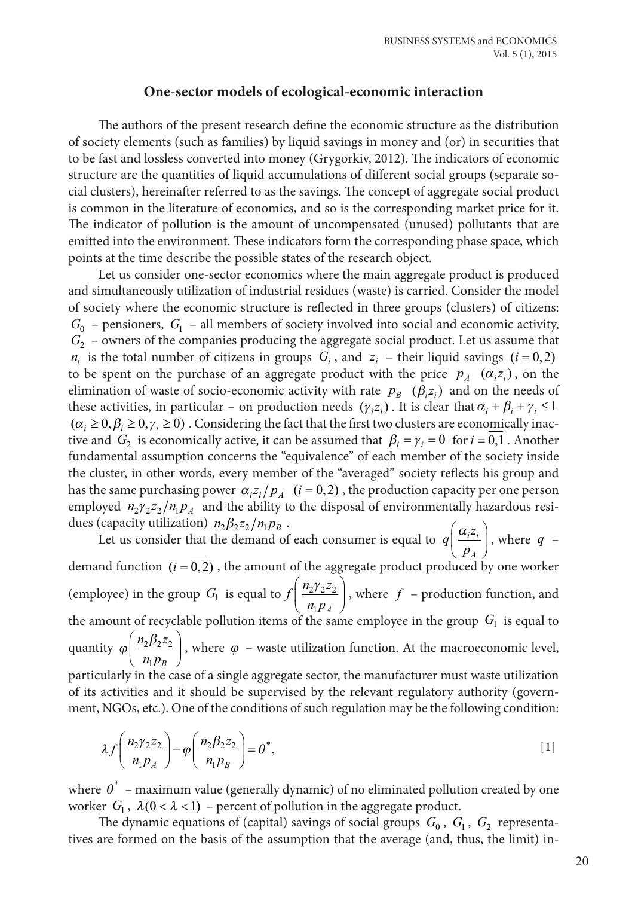### **One-sector models of ecological-economic interaction**

The authors of the present research define the economic structure as the distribution of society elements (such as families) by liquid savings in money and (or) in securities that to be fast and lossless converted into money (Grygorkiv, 2012). The indicators of economic structure are the quantities of liquid accumulations of different social groups (separate social clusters), hereinafter referred to as the savings. The concept of aggregate social product is common in the literature of economics, and so is the corresponding market price for it. The indicator of pollution is the amount of uncompensated (unused) pollutants that are emitted into the environment. These indicators form the corresponding phase space, which points at the time describe the possible states of the research object.

Let us consider one-sector economics where the main aggregate product is produced and simultaneously utilization of industrial residues (waste) is carried. Consider the model of society where the economic structure is reflected in three groups (clusters) of citizens:  $G_0$  – pensioners,  $G_1$  – all members of society involved into social and economic activity,  $G_2$  – owners of the companies producing the aggregate social product. Let us assume that  $n_i$  is the total number of citizens in groups  $G_i$ , and  $z_i$  – their liquid savings ( $i = 0, 2$ ) to be spent on the purchase of an aggregate product with the price  $p_A$  ( $\alpha_i z_i$ ), on the elimination of waste of socio-economic activity with rate  $p_B$  ( $\beta$ <sub>i</sub> $z_i$ ) and on the needs of these activities, in particular – on production needs  $(\gamma_{i} z_{i})$ . It is clear that  $\alpha_{i} + \beta_{i} + \gamma_{i} \leq 1$  $(\alpha_i \ge 0, \beta_i \ge 0, \gamma_i \ge 0)$ . Considering the fact that the first two clusters are economically inactive and  $G_2$  is economically active, it can be assumed that  $\beta_i = \gamma_i = 0$  for  $i = 0, 1$ . Another fundamental assumption concerns the "equivalence" of each member of the society inside the cluster, in other words, every member of the "averaged" society reflects his group and has the same purchasing power  $\alpha_i z_i/p_A$   $(i = \overline{0, 2})$ , the production capacity per one person employed  $n_2 \gamma_2 z_2 / n_1 p_A$  and the ability to the disposal of environmentally hazardous residues (capacity utilization)  $n_2 \beta_2 z_2 / n_1 p_B$ . <sup>α</sup>

Let us consider that the demand of each consumer is equal to  $q\left(\frac{\alpha_{i}z}{p_{A}}\right)$ *i i A*  $\left(\frac{\alpha_i z_i}{p_A}\right)$ , where  $q$ demand function  $(i = 0, 2)$ , the amount of the aggregate product produced by one worker (employee) in the group *G*<sub>1</sub> is equal to  $f\left(\frac{n_2\gamma_2}{n_1p_A}\right)$ <u>21242</u>  $\overline{1}$  $n_2\gamma$  $\left(\frac{n_2 \gamma_2 z_2}{n_1 p_A}\right)$ , where  $f$  – production function, and the amount of recyclable pollution items of the same employee in the group  $\, G_{\rm l} \,$  is equal to quantity  $\varphi\left(\frac{n_2\beta_2z}{\beta_2z}\right)$  $n_1 p_B$ <u>2P242</u> 1 ſ  $\left(\frac{n_2\beta_2 z_2}{n_1p_B}\right)$ , where  $\varphi$  – waste utilization function. At the macroeconomic level, particularly in the case of a single aggregate sector, the manufacturer must waste utilization of its activities and it should be supervised by the relevant regulatory authority (government, NGOs, etc.). One of the conditions of such regulation may be the following condition:

$$
\lambda f\left(\frac{n_2\gamma_2 z_2}{n_1 p_A}\right) - \varphi\left(\frac{n_2 \beta_2 z_2}{n_1 p_B}\right) = \theta^*,\tag{1}
$$

where  $\theta^*$  – maximum value (generally dynamic) of no eliminated pollution created by one worker  $G_1$ ,  $\lambda(0 < \lambda < 1)$  – percent of pollution in the aggregate product.

The dynamic equations of (capital) savings of social groups  $G_0$ ,  $G_1$ ,  $G_2$  representatives are formed on the basis of the assumption that the average (and, thus, the limit) in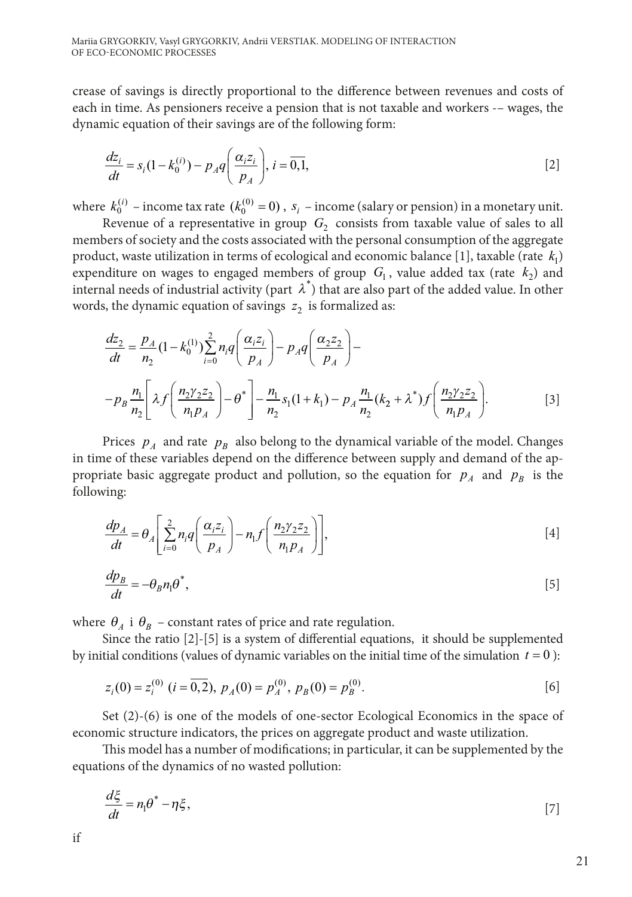crease of savings is directly proportional to the difference between revenues and costs of each in time. As pensioners receive a pension that is not taxable and workers -– wages, the dynamic equation of their savings are of the following form:

$$
\frac{dz_i}{dt} = s_i(1 - k_0^{(i)}) - p_A q \left(\frac{\alpha_i z_i}{p_A}\right), i = \overline{0,1},
$$
\n<sup>[2]</sup>

where  $k_0^{(i)}$  – income tax rate  $(k_0^{(0)} = 0)$ ,  $s_i$  – income (salary or pension) in a monetary unit.

Revenue of a representative in group  $G<sub>2</sub>$  consists from taxable value of sales to all members of society and the costs associated with the personal consumption of the aggregate product, waste utilization in terms of ecological and economic balance  $[1]$ , taxable (rate  $k_1$ ) expenditure on wages to engaged members of group  $G_1$ , value added tax (rate  $k_2$ ) and internal needs of industrial activity (part  $\lambda^*$ ) that are also part of the added value. In other words, the dynamic equation of savings  $z_2$  is formalized as:

$$
\frac{dz_2}{dt} = \frac{p_A}{n_2} (1 - k_0^{(1)}) \sum_{i=0}^2 n_i q \left( \frac{\alpha_i z_i}{p_A} \right) - p_A q \left( \frac{\alpha_2 z_2}{p_A} \right) -
$$

$$
- p_B \frac{n_1}{n_2} \left[ \lambda f \left( \frac{n_2 \gamma_2 z_2}{n_1 p_A} \right) - \theta^* \right] - \frac{n_1}{n_2} s_1 (1 + k_1) - p_A \frac{n_1}{n_2} (k_2 + \lambda^*) f \left( \frac{n_2 \gamma_2 z_2}{n_1 p_A} \right).
$$
 [3]

Prices  $p_A$  and rate  $p_B$  also belong to the dynamical variable of the model. Changes in time of these variables depend on the difference between supply and demand of the appropriate basic aggregate product and pollution, so the equation for  $p_A$  and  $p_B$  is the following:

$$
\frac{dp_A}{dt} = \theta_A \left[ \sum_{i=0}^{2} n_i q \left( \frac{\alpha_i z_i}{p_A} \right) - n_1 f \left( \frac{n_2 \gamma_2 z_2}{n_1 p_A} \right) \right],
$$
\n<sup>[4]</sup>

$$
\frac{dp_B}{dt} = -\theta_B n_1 \theta^*,\tag{5}
$$

where  $\theta_A$  i  $\theta_B$  – constant rates of price and rate regulation.

Since the ratio [2]-[5] is a system of differential equations, it should be supplemented by initial conditions (values of dynamic variables on the initial time of the simulation  $t = 0$ ):

$$
z_i(0) = z_i^{(0)} \ (i = \overline{0,2}), \ p_A(0) = p_A^{(0)}, \ p_B(0) = p_B^{(0)}.
$$
 [6]

Set (2)-(6) is one of the models of one-sector Ecological Economics in the space of economic structure indicators, the prices on aggregate product and waste utilization.

This model has a number of modifications; in particular, it can be supplemented by the equations of the dynamics of no wasted pollution:

$$
\frac{d\xi}{dt} = n_1 \theta^* - \eta \xi,\tag{7}
$$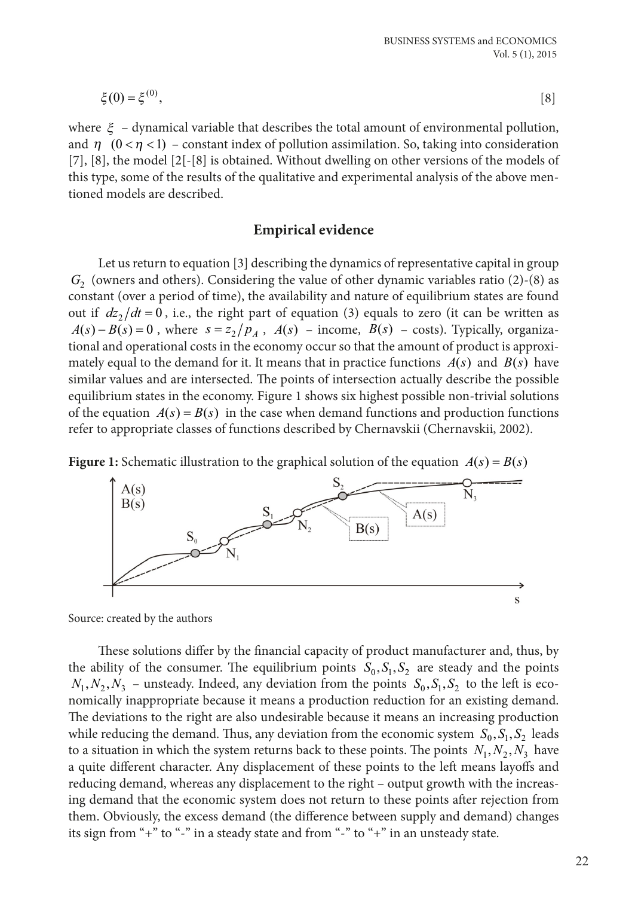$$
\xi(0) = \xi^{(0)},\tag{8}
$$

where  $\xi$  – dynamical variable that describes the total amount of environmental pollution, and  $\eta$   $(0 \le n \le 1)$  – constant index of pollution assimilation. So, taking into consideration  $[7]$ ,  $[8]$ , the model  $[2[-1]$  is obtained. Without dwelling on other versions of the models of this type, some of the results of the qualitative and experimental analysis of the above mentioned models are described.

### **Empirical evidence**

Let us return to equation [3] describing the dynamics of representative capital in group  $G<sub>2</sub>$  (owners and others). Considering the value of other dynamic variables ratio (2)-(8) as constant (over a period of time), the availability and nature of equilibrium states are found out if  $dz_1/dt = 0$ , i.e., the right part of equation (3) equals to zero (it can be written as  $A(s) - B(s) = 0$ , where  $s = z_2/p_4$ ,  $A(s)$  – income,  $B(s)$  – costs). Typically, organizational and operational costs in the economy occur so that the amount of product is approximately equal to the demand for it. It means that in practice functions  $A(s)$  and  $B(s)$  have similar values and are intersected. The points of intersection actually describe the possible equilibrium states in the economy. Figure 1 shows six highest possible non-trivial solutions of the equation  $A(s) = B(s)$  in the case when demand functions and production functions refer to appropriate classes of functions described by Chernavskii (Chernavskii, 2002).





Source: created by the authors

These solutions differ by the financial capacity of product manufacturer and, thus, by the ability of the consumer. The equilibrium points  $S_0, S_1, S_2$  are steady and the points  $N_1, N_2, N_3$  – unsteady. Indeed, any deviation from the points  $S_0, S_1, S_2$  to the left is economically inappropriate because it means a production reduction for an existing demand. The deviations to the right are also undesirable because it means an increasing production while reducing the demand. Thus, any deviation from the economic system  $S_0, S_1, S_2$  leads to a situation in which the system returns back to these points. The points  $N_1, N_2, N_3$  have a quite different character. Any displacement of these points to the left means layoffs and reducing demand, whereas any displacement to the right – output growth with the increasing demand that the economic system does not return to these points after rejection from them. Obviously, the excess demand (the difference between supply and demand) changes its sign from "+" to "-" in a steady state and from "-" to "+" in an unsteady state.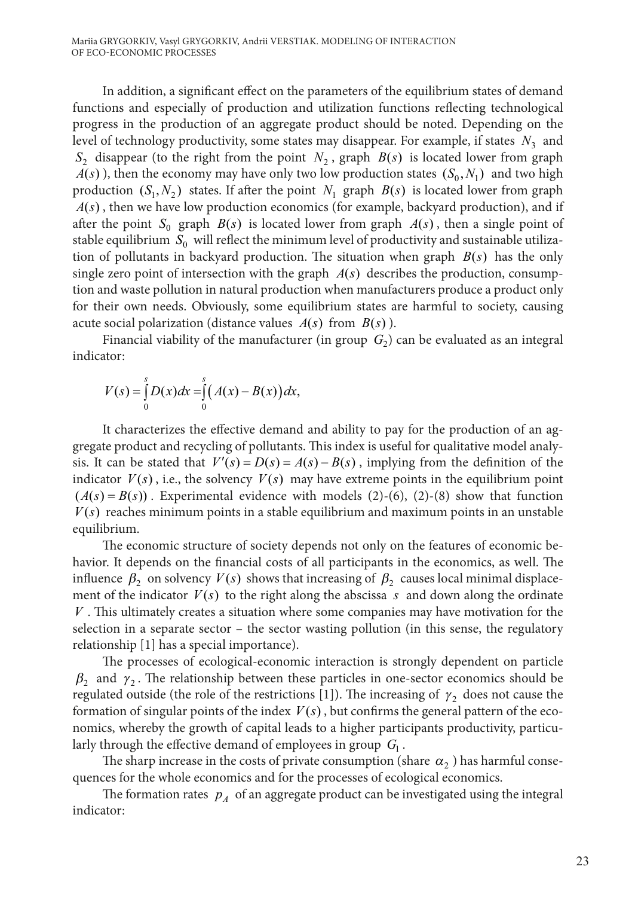Mariia GRYGORKIV, Vasyl GRYGORKIV, Andrii VERSTIAK. MODELING OF INTERACTION OF ECO-ECONOMIC PROCESSES

In addition, a significant effect on the parameters of the equilibrium states of demand functions and especially of production and utilization functions reflecting technological progress in the production of an aggregate product should be noted. Depending on the level of technology productivity, some states may disappear. For example, if states  $N_3$  and  $S_2$  disappear (to the right from the point  $N_2$ , graph  $B(s)$  is located lower from graph  $A(s)$ ), then the economy may have only two low production states  $(S_0, N_1)$  and two high production  $(S_1, N_2)$  states. If after the point  $N_1$  graph  $B(s)$  is located lower from graph  $A(s)$ , then we have low production economics (for example, backyard production), and if after the point  $S_0$  graph  $B(s)$  is located lower from graph  $A(s)$ , then a single point of stable equilibrium  $S_0$  will reflect the minimum level of productivity and sustainable utilization of pollutants in backyard production. The situation when graph  $B(s)$  has the only single zero point of intersection with the graph  $A(s)$  describes the production, consumption and waste pollution in natural production when manufacturers produce a product only for their own needs. Obviously, some equilibrium states are harmful to society, causing acute social polarization (distance values  $A(s)$  from  $B(s)$ ).

Financial viability of the manufacturer (in group  $G<sub>2</sub>$ ) can be evaluated as an integral indicator:

$$
V(s) = \int_{0}^{s} D(x)dx = \int_{0}^{s} (A(x) - B(x))dx,
$$

It characterizes the effective demand and ability to pay for the production of an aggregate product and recycling of pollutants. This index is useful for qualitative model analysis. It can be stated that  $V'(s) = D(s) = A(s) - B(s)$ , implying from the definition of the indicator  $V(s)$ , i.e., the solvency  $V(s)$  may have extreme points in the equilibrium point  $(A(s) = B(s))$ . Experimental evidence with models (2)-(6), (2)-(8) show that function  $V(s)$  reaches minimum points in a stable equilibrium and maximum points in an unstable equilibrium.

The economic structure of society depends not only on the features of economic behavior. It depends on the financial costs of all participants in the economics, as well. The influence  $\beta_2$  on solvency  $V(s)$  shows that increasing of  $\beta_2$  causes local minimal displacement of the indicator  $V(s)$  to the right along the abscissa s and down along the ordinate *V* . This ultimately creates a situation where some companies may have motivation for the selection in a separate sector – the sector wasting pollution (in this sense, the regulatory relationship [1] has a special importance).

The processes of ecological-economic interaction is strongly dependent on particle  $\beta_2$  and  $\gamma_2$ . The relationship between these particles in one-sector economics should be regulated outside (the role of the restrictions [1]). The increasing of  $\gamma_2$  does not cause the formation of singular points of the index  $V(s)$ , but confirms the general pattern of the economics, whereby the growth of capital leads to a higher participants productivity, particularly through the effective demand of employees in group  $G_1$ .

The sharp increase in the costs of private consumption (share  $\alpha$ <sub>2</sub>) has harmful consequences for the whole economics and for the processes of ecological economics.

The formation rates  $p_A$  of an aggregate product can be investigated using the integral indicator: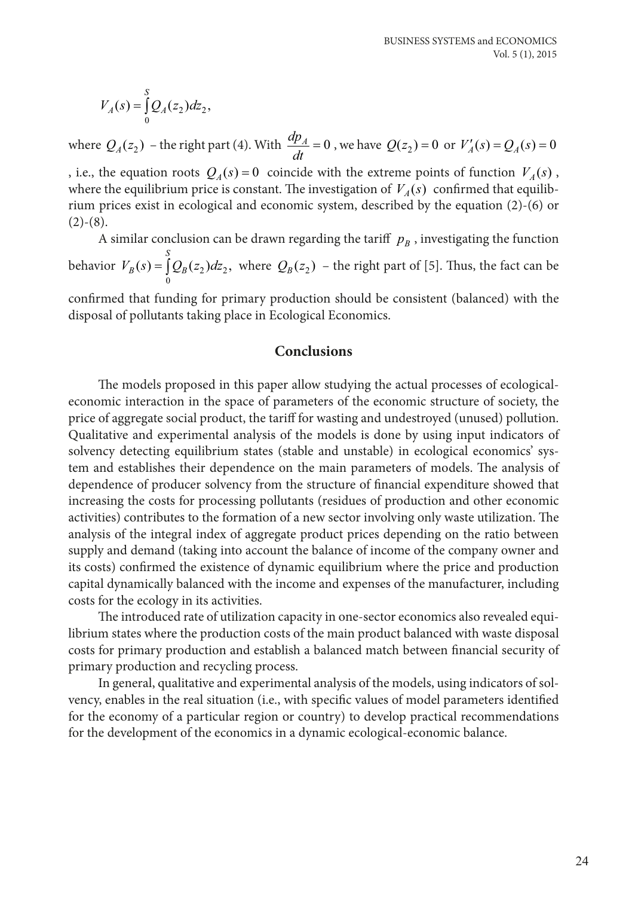$$
V_A(s) = \int_0^s Q_A(z_2) dz_2,
$$

where  $Q_A(z_2)$  – the right part (4). With  $\frac{dp_A}{dt} = 0$ , we have  $Q(z_2) = 0$  or  $V'_A(s) = Q_A(s) = 0$ 

, i.e., the equation roots  $Q_A(s) = 0$  coincide with the extreme points of function  $V_A(s)$ , where the equilibrium price is constant. The investigation of  $V_A(s)$  confirmed that equilibrium prices exist in ecological and economic system, described by the equation (2)-(6) or  $(2)-(8)$ .

A similar conclusion can be drawn regarding the tariff  $p_B$ , investigating the function behavior  $V_B(s) = \int_0^S Q_B(z_2) dz_2$ , where  $Q_B(z_2)$  – the right part of [5]. Thus, the fact can be

confirmed that funding for primary production should be consistent (balanced) with the disposal of pollutants taking place in Ecological Economics.

## **Conclusions**

The models proposed in this paper allow studying the actual processes of ecologicaleconomic interaction in the space of parameters of the economic structure of society, the price of aggregate social product, the tariff for wasting and undestroyed (unused) pollution. Qualitative and experimental analysis of the models is done by using input indicators of solvency detecting equilibrium states (stable and unstable) in ecological economics' system and establishes their dependence on the main parameters of models. The analysis of dependence of producer solvency from the structure of financial expenditure showed that increasing the costs for processing pollutants (residues of production and other economic activities) contributes to the formation of a new sector involving only waste utilization. The analysis of the integral index of aggregate product prices depending on the ratio between supply and demand (taking into account the balance of income of the company owner and its costs) confirmed the existence of dynamic equilibrium where the price and production capital dynamically balanced with the income and expenses of the manufacturer, including costs for the ecology in its activities.

The introduced rate of utilization capacity in one-sector economics also revealed equilibrium states where the production costs of the main product balanced with waste disposal costs for primary production and establish a balanced match between financial security of primary production and recycling process.

In general, qualitative and experimental analysis of the models, using indicators of solvency, enables in the real situation (i.e., with specific values of model parameters identified for the economy of a particular region or country) to develop practical recommendations for the development of the economics in a dynamic ecological-economic balance.